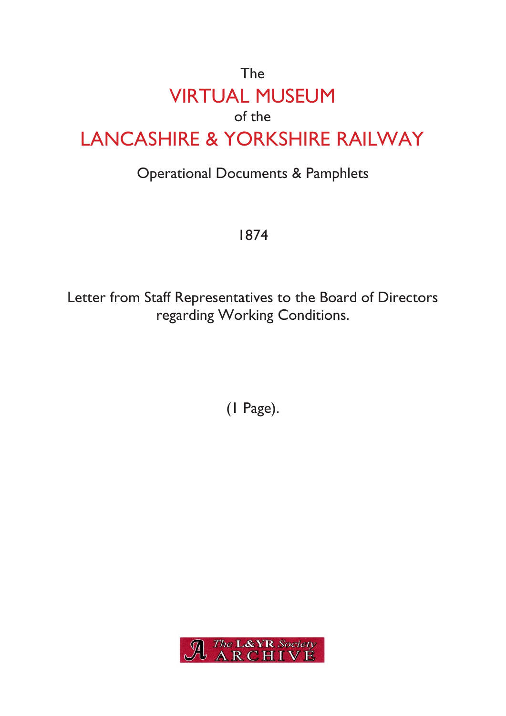## The VIRTUAL MUSEUM of the LANCASHIRE & YORKSHIRE RAILWAY

## Operational Documents & Pamphlets

1874

Letter from Staff Representatives to the Board of Directors regarding Working Conditions.

(1 Page).